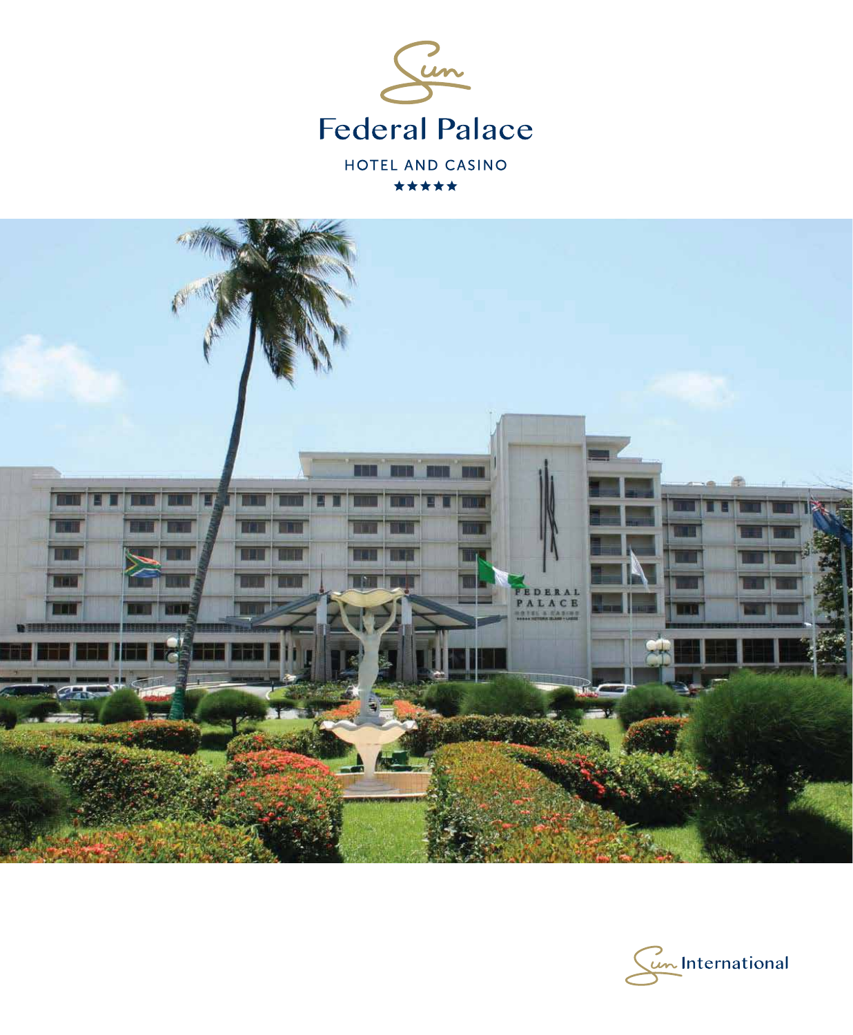



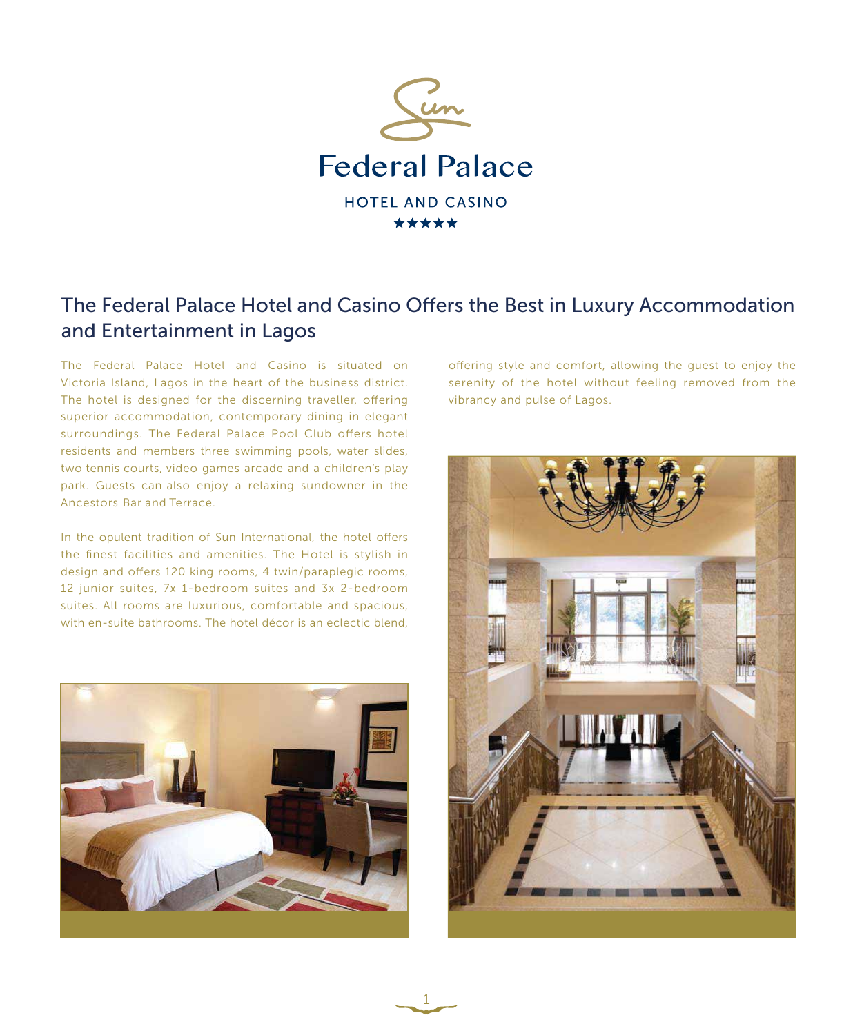

## The Federal Palace Hotel and Casino Offers the Best in Luxury Accommodation and Entertainment in Lagos

1

The Federal Palace Hotel and Casino is situated on Victoria Island, Lagos in the heart of the business district. The hotel is designed for the discerning traveller, offering superior accommodation, contemporary dining in elegant surroundings. The Federal Palace Pool Club offers hotel residents and members three swimming pools, water slides, two tennis courts, video games arcade and a children's play park. Guests can also enjoy a relaxing sundowner in the Ancestors Bar and Terrace.

In the opulent tradition of Sun International, the hotel offers the finest facilities and amenities. The Hotel is stylish in design and offers 120 king rooms, 4 twin/paraplegic rooms, 12 junior suites, 7x 1-bedroom suites and 3x 2-bedroom suites. All rooms are luxurious, comfortable and spacious, with en-suite bathrooms. The hotel décor is an eclectic blend,



offering style and comfort, allowing the quest to enjoy the serenity of the hotel without feeling removed from the vibrancy and pulse of Lagos.

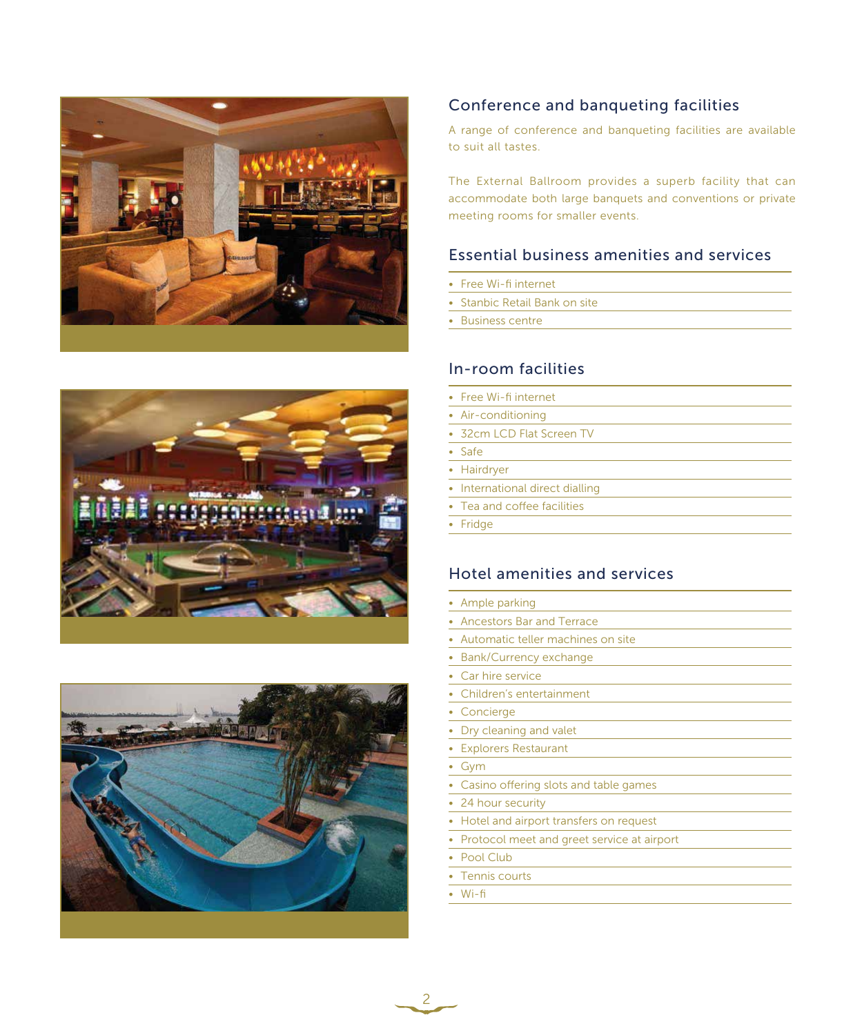





### Conference and banqueting facilities

A range of conference and banqueting facilities are available to suit all tastes.

The External Ballroom provides a superb facility that can accommodate both large banquets and conventions or private meeting rooms for smaller events.

#### Essential business amenities and services

- Free Wi-fi internet
- Stanbic Retail Bank on site
- Business centre

#### In-room facilities

• Free Wi-fi internet • Air-conditioning • 32cm LCD Flat Screen TV • Safe • Hairdryer • International direct dialling • Tea and coffee facilities • Fridge

#### Hotel amenities and services

| • Ample parking                              |
|----------------------------------------------|
| • Ancestors Bar and Terrace                  |
| • Automatic teller machines on site          |
| • Bank/Currency exchange                     |
| • Car hire service                           |
| • Children's entertainment                   |
| • Concierge                                  |
| • Dry cleaning and valet                     |
| • Explorers Restaurant                       |
| • Gym                                        |
| • Casino offering slots and table games      |
| • 24 hour security                           |
| • Hotel and airport transfers on request     |
| • Protocol meet and greet service at airport |
| • Pool Club                                  |
| • Tennis courts                              |

• Wi-fi

 $\begin{array}{c} 2 \end{array}$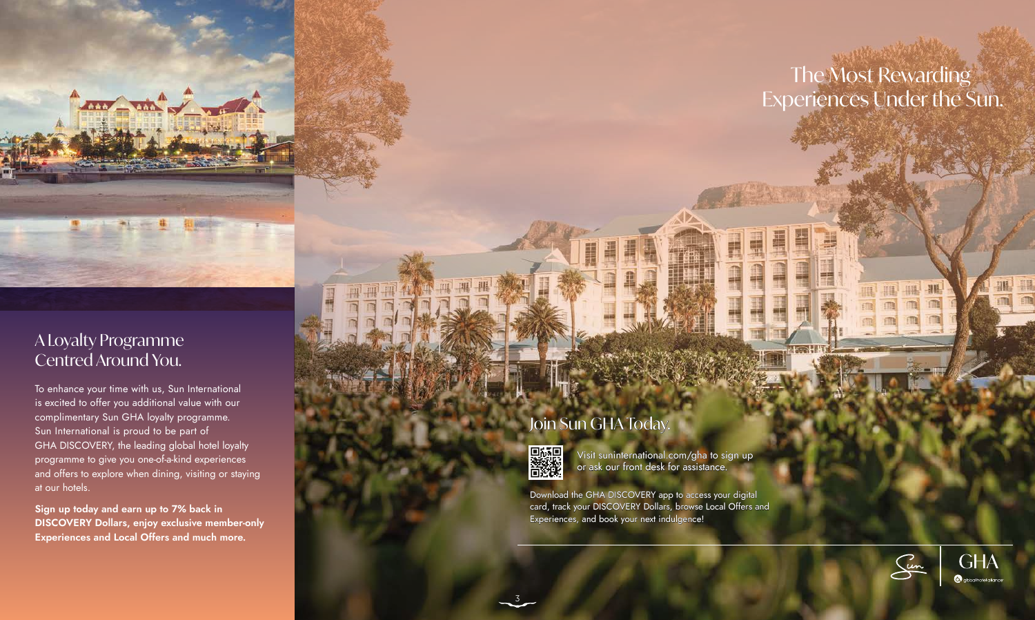Visit suninternational.com/gha to sign up or ask our front desk for assistance.

## Join Sun GHA Today.



Download the GHA DISCOVERY app to access your digital card, track your DISCOVERY Dollars, browse Local Offers and Experiences, and book your next indulgence!

To enhance your time with us, Sun International is excited to offer you additional value with our complimentary Sun GHA loyalty programme. Sun International is proud to be part of GHA DISCOVERY, the leading global hotel loyalty programme to give you one-of-a-kind experiences and offers to explore when dining, visiting or staying at our hotels.

**Sign up today and earn up to 7% back in DISCOVERY Dollars, enjoy exclusive member-only Experiences and Local Offers and much more.**

A Loyalty Programme Centred Around You.

**Low Code of** 

# The Most Rewarding Experiences Under the Sun.





3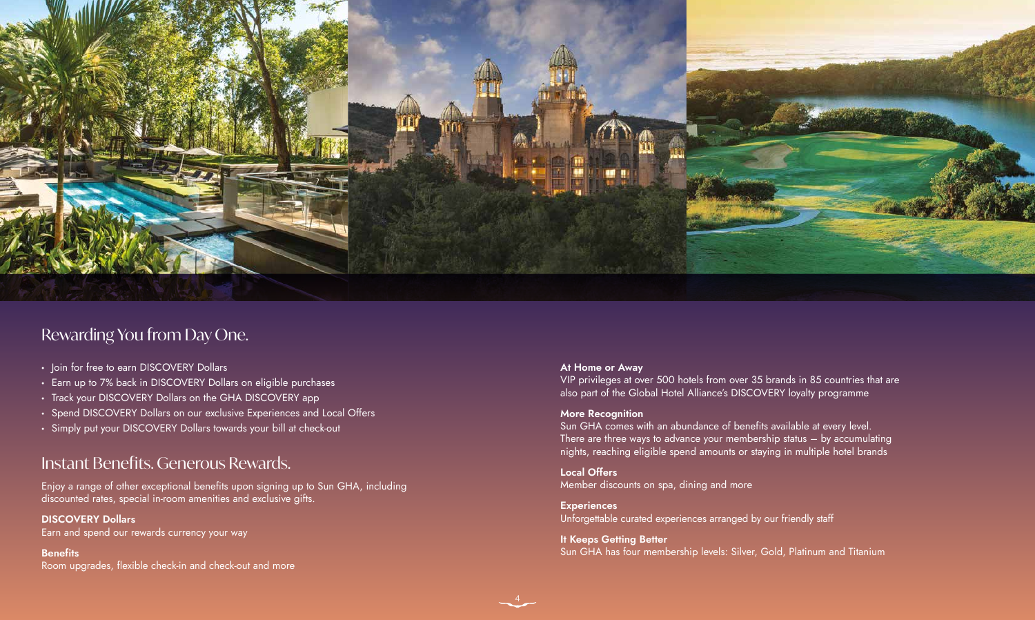

## Rewarding You from Day One.

- Join for free to earn DISCOVERY Dollars
- Earn up to 7% back in DISCOVERY Dollars on eligible purchases
- Track your DISCOVERY Dollars on the GHA DISCOVERY app
- Spend DISCOVERY Dollars on our exclusive Experiences and Local Offers
- Simply put your DISCOVERY Dollars towards your bill at check-out

## **Instant Benefits. Generous Rewards.**

#### **At Home or Away**

VIP privileges at over 500 hotels from over 35 brands in 85 countries that are also part of the Global Hotel Alliance's DISCOVERY loyalty programme

### **More Recognition**

Sun GHA comes with an abundance of benefits available at every level. There are three ways to advance your membership status – by accumulating nights, reaching eligible spend amounts or staying in multiple hotel brands

**Local Offers** Member discounts on spa, dining and more

**Experiences**  Unforgettable curated experiences arranged by our friendly staff

**It Keeps Getting Better** Sun GHA has four membership levels: Silver, Gold, Platinum and Titanium

Enjoy a range of other exceptional benefits upon signing up to Sun GHA, including discounted rates, special in-room amenities and exclusive gifts.

### **DISCOVERY Dollars**

Earn and spend our rewards currency your way

### **Benefits**

Room upgrades, flexible check-in and check-out and more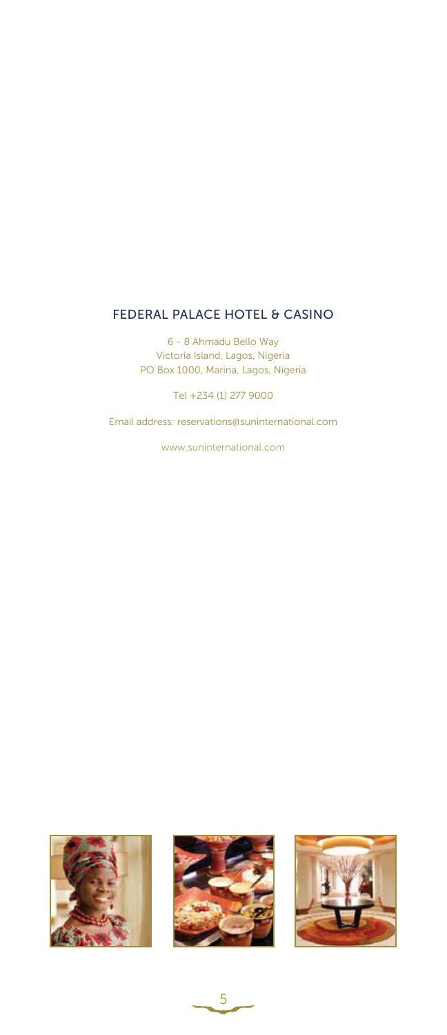#### FEDERAL PALACE HOTEL & CASINO

6 - 8 Ahmadu Bello Way Victoria Island, Lagos, Nigeria PO Box 1000, Marina, Lagos, Nigeria

Tel +234 (1) 277 9000

Email address: reservations@suninternational.com

www.suninternational.com